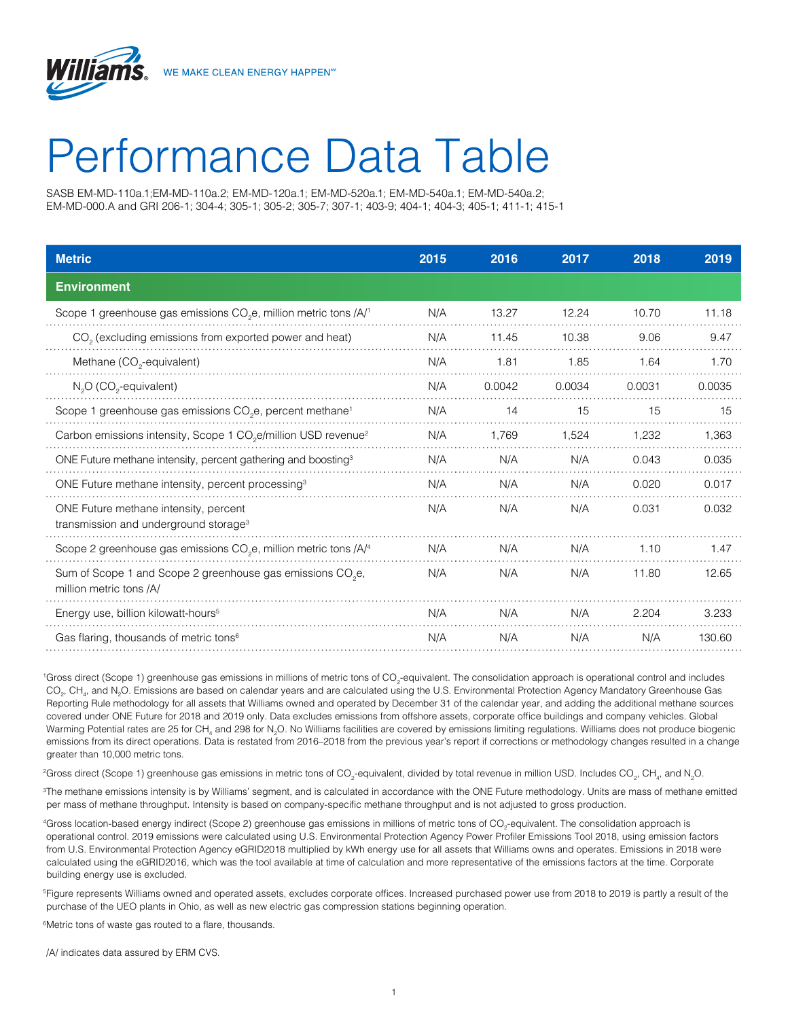

SASB EM-MD-110a.1;EM-MD-110a.2; EM-MD-120a.1; EM-MD-520a.1; EM-MD-540a.1; EM-MD-540a.2; EM-MD-000.A and GRI 206-1; 304-4; 305-1; 305-2; 305-7; 307-1; 403-9; 404-1; 404-3; 405-1; 411-1; 415-1

| <b>Metric</b>                                                                                     | 2015 | 2016   | 2017   | 2018   | 2019   |
|---------------------------------------------------------------------------------------------------|------|--------|--------|--------|--------|
| <b>Environment</b>                                                                                |      |        |        |        |        |
| Scope 1 greenhouse gas emissions CO <sub>2</sub> e, million metric tons /A/ <sup>1</sup>          | N/A  | 13.27  | 12.24  | 10.70  | 11.18  |
| CO <sub>2</sub> (excluding emissions from exported power and heat)                                | N/A  | 11.45  | 10.38  | 9.06   | 9.47   |
| Methane (CO <sub>2</sub> -equivalent)                                                             | N/A  | 1.81   | 1.85   | 1.64   | 1.70   |
| N <sub>2</sub> O (CO <sub>2</sub> -equivalent)                                                    | N/A  | 0.0042 | 0.0034 | 0.0031 | 0.0035 |
| Scope 1 greenhouse gas emissions CO <sub>2</sub> e, percent methane <sup>1</sup>                  | N/A  | 14     | 15     | 15     | 15     |
| Carbon emissions intensity, Scope 1 CO <sub>2</sub> e/million USD revenue <sup>2</sup>            | N/A  | 1.769  | 1,524  | 1,232  | 1,363  |
| ONE Future methane intensity, percent gathering and boosting <sup>3</sup>                         | N/A  | N/A    | N/A    | 0.043  | 0.035  |
| ONE Future methane intensity, percent processing <sup>3</sup>                                     | N/A  | N/A    | N/A    | 0.020  | 0.017  |
| ONE Future methane intensity, percent<br>transmission and underground storage <sup>3</sup>        | N/A  | N/A    | N/A    | 0.031  | 0.032  |
| Scope 2 greenhouse gas emissions CO <sub>2</sub> e, million metric tons /A/ <sup>4</sup>          | N/A  | N/A    | N/A    | 1.10   | 1.47   |
| Sum of Scope 1 and Scope 2 greenhouse gas emissions CO <sub>2</sub> e,<br>million metric tons /A/ | N/A  | N/A    | N/A    | 11.80  | 12.65  |
| Energy use, billion kilowatt-hours <sup>5</sup>                                                   | N/A  | N/A    | N/A    | 2.204  | 3.233  |
| Gas flaring, thousands of metric tons <sup>6</sup>                                                | N/A  | N/A    | N/A    | N/A    | 130.60 |

'Gross direct (Scope 1) greenhouse gas emissions in millions of metric tons of CO<sub>2</sub>-equivalent. The consolidation approach is operational control and includes CO<sub>2</sub>, CH<sub>4</sub>, and N<sub>2</sub>O. Emissions are based on calendar years and are calculated using the U.S. Environmental Protection Agency Mandatory Greenhouse Gas Reporting Rule methodology for all assets that Williams owned and operated by December 31 of the calendar year, and adding the additional methane sources covered under ONE Future for 2018 and 2019 only. Data excludes emissions from offshore assets, corporate office buildings and company vehicles. Global Warming Potential rates are 25 for CH<sub>4</sub> and 298 for N<sub>2</sub>O. No Williams facilities are covered by emissions limiting regulations. Williams does not produce biogenic emissions from its direct operations. Data is restated from 2016–2018 from the previous year's report if corrections or methodology changes resulted in a change greater than 10,000 metric tons.

 $^2$ Gross direct (Scope 1) greenhouse gas emissions in metric tons of CO<sub>2</sub>-equivalent, divided by total revenue in million USD. Includes CO<sub>2</sub>, CH<sub>4</sub>, and N<sub>2</sub>O.

3 The methane emissions intensity is by Williams' segment, and is calculated in accordance with the ONE Future methodology. Units are mass of methane emitted per mass of methane throughput. Intensity is based on company-specific methane throughput and is not adjusted to gross production.

"Gross location-based energy indirect (Scope 2) greenhouse gas emissions in millions of metric tons of CO<sub>2</sub>-equivalent. The consolidation approach is operational control. 2019 emissions were calculated using U.S. Environmental Protection Agency Power Profiler Emissions Tool 2018, using emission factors from U.S. Environmental Protection Agency eGRID2018 multiplied by kWh energy use for all assets that Williams owns and operates. Emissions in 2018 were calculated using the eGRID2016, which was the tool available at time of calculation and more representative of the emissions factors at the time. Corporate building energy use is excluded.

5 Figure represents Williams owned and operated assets, excludes corporate offices. Increased purchased power use from 2018 to 2019 is partly a result of the purchase of the UEO plants in Ohio, as well as new electric gas compression stations beginning operation.

6 Metric tons of waste gas routed to a flare, thousands.

/A/ indicates data assured by ERM CVS.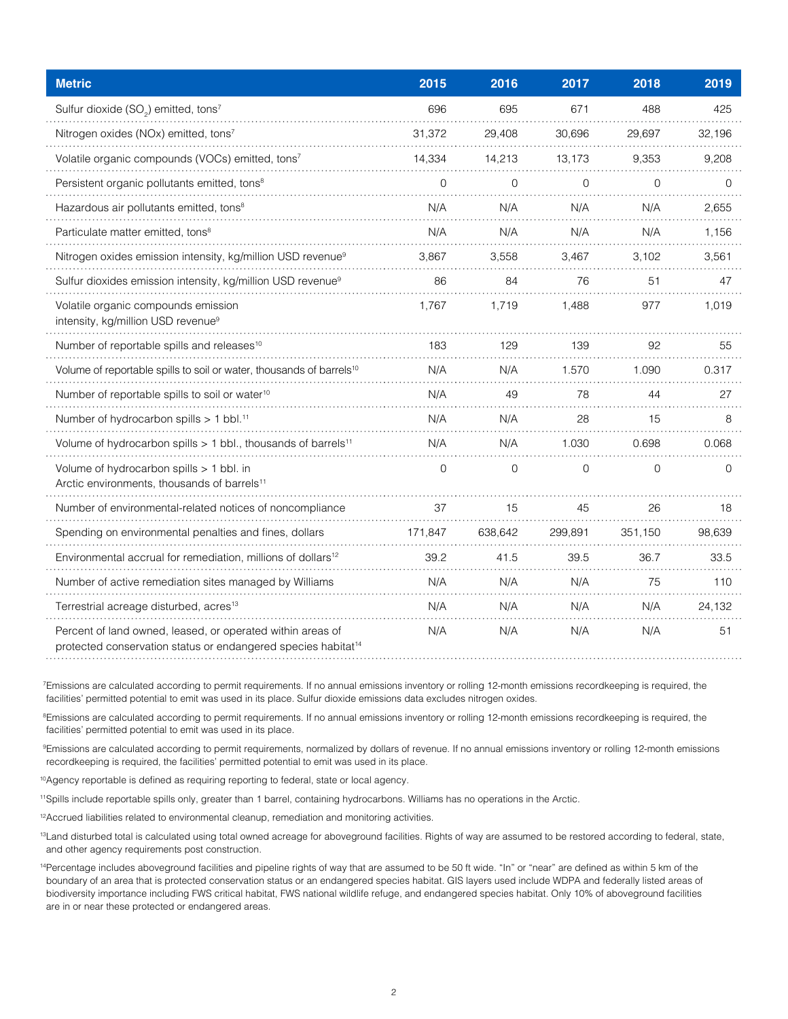| <b>Metric</b>                                                                                                                           | 2015           | 2016           | 2017           | 2018           | 2019     |
|-----------------------------------------------------------------------------------------------------------------------------------------|----------------|----------------|----------------|----------------|----------|
| Sulfur dioxide (SO <sub>2</sub> ) emitted, tons <sup>7</sup>                                                                            | 696            | 695            | 671            | 488            | 425      |
| Nitrogen oxides (NOx) emitted, tons7                                                                                                    | 31,372         | 29,408         | 30,696         | 29,697         | 32,196   |
| Volatile organic compounds (VOCs) emitted, tons7                                                                                        | 14,334         | 14,213         | 13,173         | 9,353          | 9,208    |
| Persistent organic pollutants emitted, tons <sup>8</sup>                                                                                | $\overline{0}$ | 0              | $\overline{0}$ | 0              | $\Omega$ |
| Hazardous air pollutants emitted, tons <sup>8</sup>                                                                                     | N/A            | N/A            | N/A            | N/A            | 2,655    |
| Particulate matter emitted, tons <sup>8</sup>                                                                                           | N/A            | N/A            | N/A            | N/A            | 1,156    |
| Nitrogen oxides emission intensity, kg/million USD revenue <sup>9</sup>                                                                 | 3,867          | 3,558          | 3,467          | 3,102          | 3,561    |
| Sulfur dioxides emission intensity, kg/million USD revenue <sup>9</sup>                                                                 | 86             | 84             | 76             | 51             | 47       |
| Volatile organic compounds emission<br>intensity, kg/million USD revenue <sup>9</sup>                                                   | 1,767          | 1,719          | 1,488          | 977            | 1,019    |
| Number of reportable spills and releases <sup>10</sup>                                                                                  | 183            | 129            | 139            | 92             | 55       |
| Volume of reportable spills to soil or water, thousands of barrels <sup>10</sup>                                                        | N/A            | N/A            | 1.570          | 1.090          | 0.317    |
| Number of reportable spills to soil or water <sup>10</sup>                                                                              | N/A            | 49             | 78             | 44             | 27       |
| Number of hydrocarbon spills > 1 bbl. <sup>11</sup>                                                                                     | N/A            | N/A            | 28             | 15             | 8        |
| Volume of hydrocarbon spills > 1 bbl., thousands of barrels <sup>11</sup>                                                               | N/A            | N/A            | 1.030          | 0.698          | 0.068    |
| Volume of hydrocarbon spills > 1 bbl. in<br>Arctic environments, thousands of barrels <sup>11</sup>                                     | $\overline{0}$ | $\overline{0}$ | $\overline{0}$ | $\overline{0}$ | $\Omega$ |
| Number of environmental-related notices of noncompliance                                                                                | 37             | 15             | 45             | 26             | 18       |
| Spending on environmental penalties and fines, dollars                                                                                  | 171.847        | 638,642        | 299,891        | 351,150        | 98,639   |
| Environmental accrual for remediation, millions of dollars <sup>12</sup>                                                                | 39.2           | 41.5           | 39.5           | 36.7           | 33.5     |
| Number of active remediation sites managed by Williams                                                                                  | N/A            | N/A            | N/A            | 75             | 110      |
| Terrestrial acreage disturbed, acres <sup>13</sup>                                                                                      | N/A            | N/A            | N/A            | N/A            | 24,132   |
| Percent of land owned, leased, or operated within areas of<br>protected conservation status or endangered species habitat <sup>14</sup> | N/A            | N/A            | N/A            | N/A            | 51       |

7 Emissions are calculated according to permit requirements. If no annual emissions inventory or rolling 12-month emissions recordkeeping is required, the facilities' permitted potential to emit was used in its place. Sulfur dioxide emissions data excludes nitrogen oxides.

<sup>8</sup>Emissions are calculated according to permit requirements. If no annual emissions inventory or rolling 12-month emissions recordkeeping is required, the facilities' permitted potential to emit was used in its place.

9 Emissions are calculated according to permit requirements, normalized by dollars of revenue. If no annual emissions inventory or rolling 12-month emissions recordkeeping is required, the facilities' permitted potential to emit was used in its place.

<sup>10</sup>Agency reportable is defined as requiring reporting to federal, state or local agency.

11Spills include reportable spills only, greater than 1 barrel, containing hydrocarbons. Williams has no operations in the Arctic.

<sup>12</sup>Accrued liabilities related to environmental cleanup, remediation and monitoring activities.

<sup>13</sup> Land disturbed total is calculated using total owned acreage for aboveground facilities. Rights of way are assumed to be restored according to federal, state, and other agency requirements post construction.

<sup>14</sup>Percentage includes aboveground facilities and pipeline rights of way that are assumed to be 50 ft wide. "In" or "near" are defined as within 5 km of the boundary of an area that is protected conservation status or an endangered species habitat. GIS layers used include WDPA and federally listed areas of biodiversity importance including FWS critical habitat, FWS national wildlife refuge, and endangered species habitat. Only 10% of aboveground facilities are in or near these protected or endangered areas.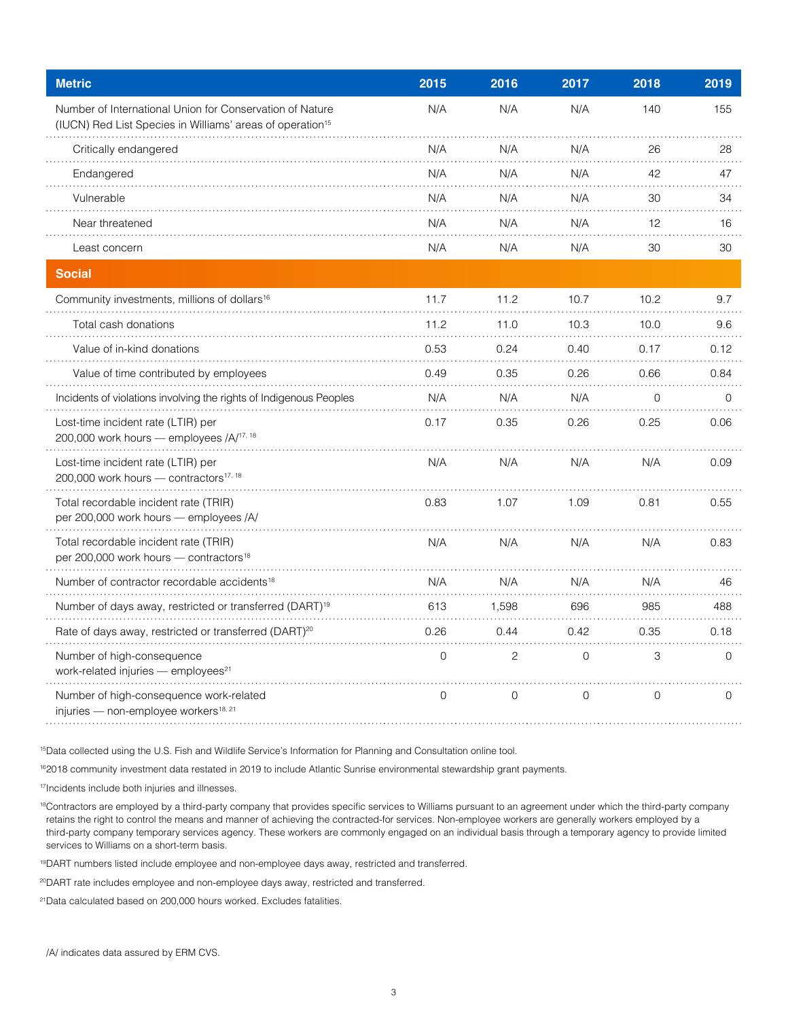| <b>Metric</b>                                                                                                                     | 2015 | 2016           | 2017           | 2018        | 2019     |
|-----------------------------------------------------------------------------------------------------------------------------------|------|----------------|----------------|-------------|----------|
| Number of International Union for Conservation of Nature<br>(IUCN) Red List Species in Williams' areas of operation <sup>15</sup> | N/A  | N/A            | N/A            | 140         | 155      |
| Critically endangered                                                                                                             | N/A  | N/A            | N/A            | 26          | 28       |
| Endangered                                                                                                                        | N/A  | N/A            | N/A            | 42          | 47       |
| Vulnerable                                                                                                                        | N/A  | N/A            | N/A            | 30          | 34       |
| Near threatened                                                                                                                   | N/A  | N/A            | N/A            | 12          | 16       |
| Least concern                                                                                                                     | N/A  | N/A            | N/A            | 30          | 30       |
| <b>Social</b>                                                                                                                     |      |                |                |             |          |
| Community investments, millions of dollars <sup>16</sup>                                                                          | 11.7 | 11.2           | 10.7           | 10.2        | 9.7      |
| Total cash donations                                                                                                              | 11.2 | 11.0           | 10.3           | 10.0        | 9.6      |
| Value of in-kind donations                                                                                                        | 0.53 | 0.24           | 0.40           | 0.17        | 0.12     |
| Value of time contributed by employees                                                                                            | 0.49 | 0.35           | 0.26           | 0.66        | 0.84     |
| Incidents of violations involving the rights of Indigenous Peoples                                                                | N/A  | N/A            | N/A            | 0           | $\Omega$ |
| Lost-time incident rate (LTIR) per<br>200,000 work hours - employees /A/ <sup>17, 18</sup>                                        | 0.17 | 0.35           | 0.26           | 0.25        | 0.06     |
| Lost-time incident rate (LTIR) per<br>200,000 work hours - contractors <sup>17, 18</sup>                                          | N/A  | N/A            | N/A            | N/A         | 0.09     |
| Total recordable incident rate (TRIR)<br>per 200,000 work hours - employees /A/                                                   | 0.83 | 1.07           | 1.09           | 0.81        | 0.55     |
| Total recordable incident rate (TRIR)<br>per 200,000 work hours - contractors <sup>18</sup>                                       | N/A  | N/A            | N/A            | N/A         | 0.83     |
| Number of contractor recordable accidents <sup>18</sup>                                                                           | N/A  | N/A            | N/A            | N/A         | 46       |
| Number of days away, restricted or transferred (DART) <sup>19</sup>                                                               | 613  | 1,598          | 696            | 985         | 488      |
| Rate of days away, restricted or transferred (DART) <sup>20</sup>                                                                 | 0.26 | 0.44           | 0.42           | 0.35        | 0.18     |
| Number of high-consequence<br>work-related injuries - employees <sup>21</sup>                                                     | 0    | 2              | $\overline{0}$ | 3           | $\Omega$ |
| Number of high-consequence work-related<br>injuries - non-employee workers <sup>18, 21</sup>                                      | 0    | $\overline{0}$ | 0              | $\mathbf 0$ | 0        |

15Data collected using the U.S. Fish and Wildlife Service's Information for Planning and Consultation online tool.

<sup>16</sup>2018 community investment data restated in 2019 to include Atlantic Sunrise environmental stewardship grant payments.

<sup>17</sup>Incidents include both injuries and illnesses.

18Contractors are employed by a third-party company that provides specific services to Williams pursuant to an agreement under which the third-party company retains the right to control the means and manner of achieving the contracted-for services. Non-employee workers are generally workers employed by a third-party company temporary services agency. These workers are commonly engaged on an individual basis through a temporary agency to provide limited services to Williams on a short-term basis.

<sup>19</sup>DART numbers listed include employee and non-employee days away, restricted and transferred.

<sup>20</sup>DART rate includes employee and non-employee days away, restricted and transferred.

21Data calculated based on 200,000 hours worked. Excludes fatalities.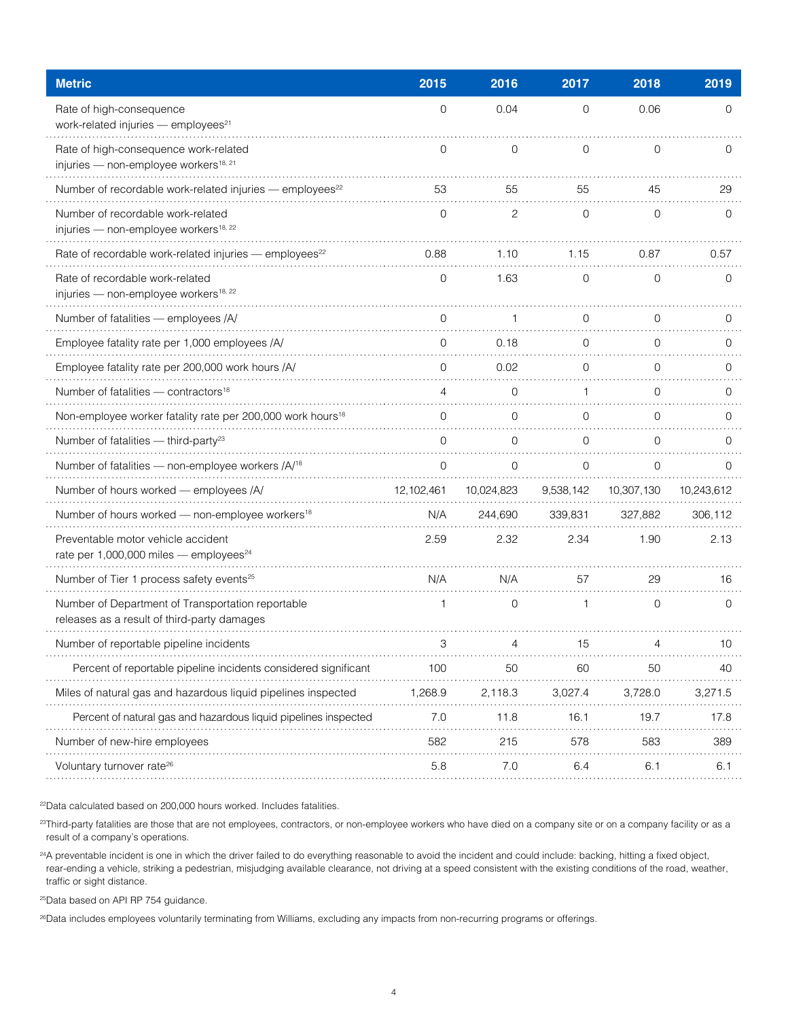| <b>Metric</b>                                                                                    | 2015         | 2016           | 2017           | 2018           | 2019        |
|--------------------------------------------------------------------------------------------------|--------------|----------------|----------------|----------------|-------------|
| Rate of high-consequence<br>work-related injuries - employees <sup>21</sup>                      | $\mathbf{O}$ | 0.04           | 0              | 0.06           | $\mathbf 0$ |
| Rate of high-consequence work-related<br>injuries - non-employee workers <sup>18, 21</sup>       | 0            | 0              | $\overline{0}$ | 0              | 0           |
| Number of recordable work-related injuries - employees <sup>22</sup>                             | 53           | 55             | 55             | 45             | 29          |
| Number of recordable work-related<br>injuries - non-employee workers <sup>18, 22</sup>           | $\Omega$     | $\overline{c}$ | $\overline{0}$ | $\Omega$       | $\Omega$    |
| Rate of recordable work-related injuries - employees <sup>22</sup>                               | 0.88         | 1.10           | 1.15           | 0.87           | 0.57        |
| Rate of recordable work-related<br>injuries - non-employee workers <sup>18, 22</sup>             | O            | 1.63           | 0              | 0              | 0           |
| Number of fatalities - employees /A/                                                             | 0            | 1              | $\mathbf{0}$   | 0              | 0           |
| Employee fatality rate per 1,000 employees /A/                                                   | $\cap$       | 0.18           | $\Omega$       | $\Omega$       | $\Omega$    |
| Employee fatality rate per 200,000 work hours /A/                                                | $\cap$       | 0.02           | $\Omega$       | $\cap$         | $\Omega$    |
| Number of fatalities - contractors <sup>18</sup>                                                 |              | 0              |                | $\Omega$       | $\Omega$    |
| Non-employee worker fatality rate per 200,000 work hours <sup>18</sup>                           |              | $\Omega$       | $\Omega$       | $\Omega$       | O           |
| Number of fatalities $-$ third-party <sup>23</sup>                                               | $\Omega$     | $\overline{0}$ | $\overline{0}$ | $\overline{0}$ | $\Omega$    |
| Number of fatalities - non-employee workers /A/ <sup>18</sup>                                    |              | $\Omega$       | $\Omega$       | ∩              | O           |
| Number of hours worked - employees /A/                                                           | 12,102,461   | 10,024,823     | 9,538,142      | 10,307,130     | 10,243,612  |
| Number of hours worked - non-employee workers <sup>18</sup>                                      | N/A          | 244,690        | 339,831        | 327,882        | 306,112     |
| Preventable motor vehicle accident<br>rate per 1,000,000 miles - employees <sup>24</sup>         | 2.59         | 2.32           | 2.34           | 1.90           | 2.13        |
| Number of Tier 1 process safety events <sup>25</sup>                                             | N/A          | N/A            | 57             | 29             | 16          |
| Number of Department of Transportation reportable<br>releases as a result of third-party damages | 1            | 0              | 1              | 0              | 0           |
| Number of reportable pipeline incidents                                                          | 3            | 4              | 15             | 4              | 10          |
| Percent of reportable pipeline incidents considered significant                                  | 100          | 50             | 60             | 50             | 40          |
| Miles of natural gas and hazardous liquid pipelines inspected                                    | 1,268.9      | 2,118.3        | 3,027.4        | 3,728.0        | 3,271.5     |
| Percent of natural gas and hazardous liquid pipelines inspected                                  | 7.0          | 11.8           | 16.1           | 19.7           | 17.8        |
| Number of new-hire employees                                                                     | 582          | 215            | 578            | 583            | 389         |
| Voluntary turnover rate <sup>26</sup>                                                            | 5.8          | 7.0            | 6.4            | 6.1            | 6.1         |

<sup>22</sup>Data calculated based on 200,000 hours worked. Includes fatalities.

<sup>23</sup>Third-party fatalities are those that are not employees, contractors, or non-employee workers who have died on a company site or on a company facility or as a result of a company's operations.

<sup>24</sup>A preventable incident is one in which the driver failed to do everything reasonable to avoid the incident and could include: backing, hitting a fixed object, rear-ending a vehicle, striking a pedestrian, misjudging available clearance, not driving at a speed consistent with the existing conditions of the road, weather, traffic or sight distance.

<sup>25</sup>Data based on API RP 754 guidance.

<sup>26</sup>Data includes employees voluntarily terminating from Williams, excluding any impacts from non-recurring programs or offerings.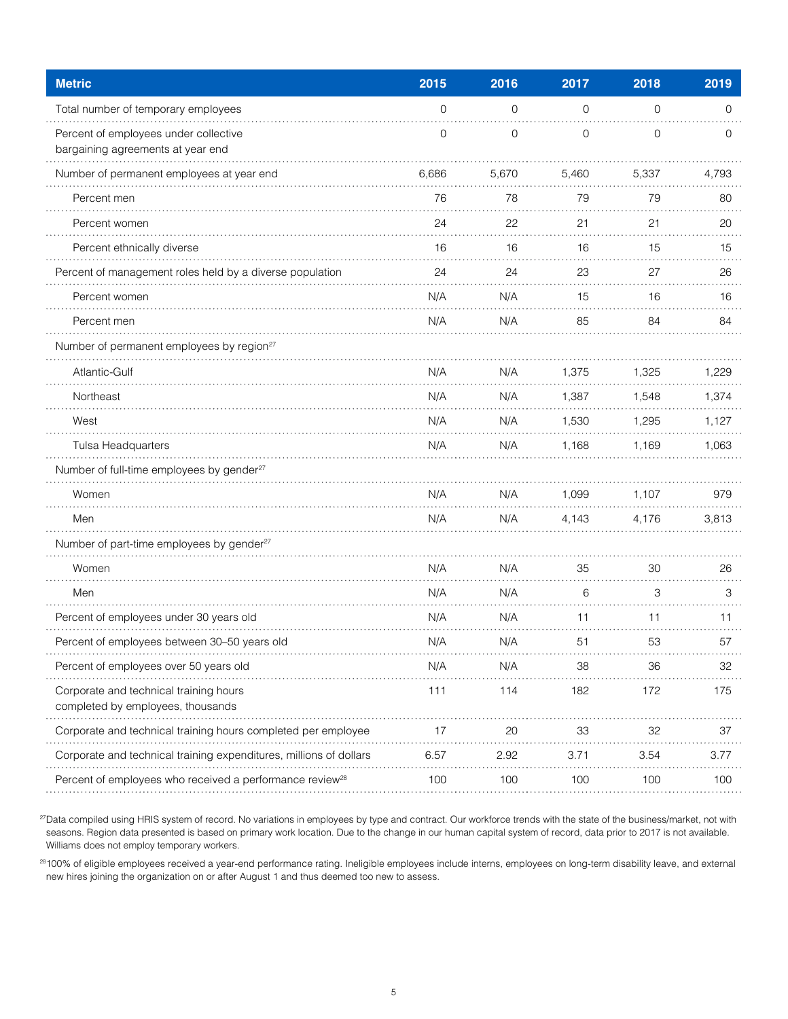| <b>Metric</b>                                                               | 2015           | 2016        | 2017           | 2018        | 2019  |
|-----------------------------------------------------------------------------|----------------|-------------|----------------|-------------|-------|
| Total number of temporary employees                                         | $\overline{0}$ | 0           | 0              | 0           | 0     |
| Percent of employees under collective<br>bargaining agreements at year end  | 0              | $\mathbf 0$ | $\overline{0}$ | $\mathbf 0$ | 0     |
| Number of permanent employees at year end                                   | 6,686          | 5,670       | 5,460          | 5,337       | 4,793 |
| Percent men                                                                 | 76             | 78          | 79             | 79          | 80    |
| Percent women                                                               | 24             | 22          | 21             | 21          | 20    |
| Percent ethnically diverse                                                  | 16             | 16          | 16             | 15          | 15    |
| Percent of management roles held by a diverse population                    | 24             | 24          | 23             | 27          | 26    |
| Percent women                                                               | N/A            | N/A         | 15             | 16          | 16    |
| Percent men                                                                 | N/A            | N/A         | 85             | 84          | 84    |
| Number of permanent employees by region <sup>27</sup>                       |                |             |                |             |       |
| Atlantic-Gulf                                                               | N/A            | N/A         | 1,375          | 1,325       | 1,229 |
| Northeast                                                                   | N/A            | N/A         | 1,387          | 1,548       | 1,374 |
| West                                                                        | N/A            | N/A         | 1,530          | 1,295       | 1,127 |
| Tulsa Headquarters                                                          | N/A            | N/A         | 1,168          | 1,169       | 1,063 |
| Number of full-time employees by gender <sup>27</sup>                       |                |             |                |             |       |
| Women                                                                       | N/A            | N/A         | 1,099          | 1,107       | 979   |
| Men                                                                         | N/A            | N/A         | 4,143          | 4,176       | 3,813 |
| Number of part-time employees by gender <sup>27</sup>                       |                |             |                |             |       |
| Women                                                                       | N/A            | N/A         | 35             | 30          | 26    |
| Men                                                                         | N/A            | N/A         | 6              | 3           | 3     |
| Percent of employees under 30 years old                                     | N/A            | N/A         | 11             | 11          | 11    |
| Percent of employees between 30-50 years old                                | N/A            | N/A         | 51             | 53          | 57    |
| Percent of employees over 50 years old                                      | N/A            | N/A         | 38             | 36          | 32    |
| Corporate and technical training hours<br>completed by employees, thousands | 111            | 114         | 182            | 172         | 175   |
| Corporate and technical training hours completed per employee               | 17             | 20          | 33             | 32          | 37    |
| Corporate and technical training expenditures, millions of dollars          | 6.57           | 2.92        | 3.71           | 3.54        | 3.77  |
| Percent of employees who received a performance review <sup>28</sup>        | 100            | 100         | 100            | 100         | 100   |

27Data compiled using HRIS system of record. No variations in employees by type and contract. Our workforce trends with the state of the business/market, not with seasons. Region data presented is based on primary work location. Due to the change in our human capital system of record, data prior to 2017 is not available. Williams does not employ temporary workers.

28100% of eligible employees received a year-end performance rating. Ineligible employees include interns, employees on long-term disability leave, and external new hires joining the organization on or after August 1 and thus deemed too new to assess.